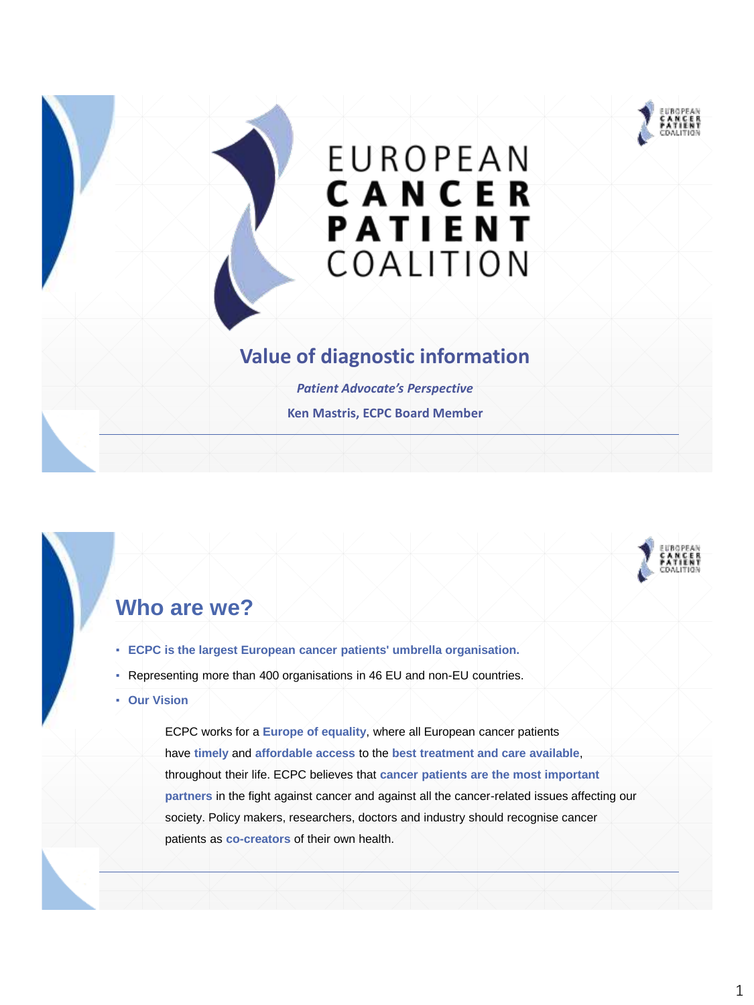

# **EUROPEAN CANCER**<br>PATIENT COALITION

#### **Value of diagnostic information**

*Patient Advocate's Perspective* **Ken Mastris, ECPC Board Member**



## **Who are we?**

- **ECPC is the largest European cancer patients' umbrella organisation.**
- Representing more than 400 organisations in 46 EU and non-EU countries.
- **Our Vision**

ECPC works for a **Europe of equality**, where all European cancer patients have **timely** and **affordable access** to the **best treatment and care available**, throughout their life. ECPC believes that **cancer patients are the most important partners** in the fight against cancer and against all the cancer-related issues affecting our society. Policy makers, researchers, doctors and industry should recognise cancer patients as **co-creators** of their own health.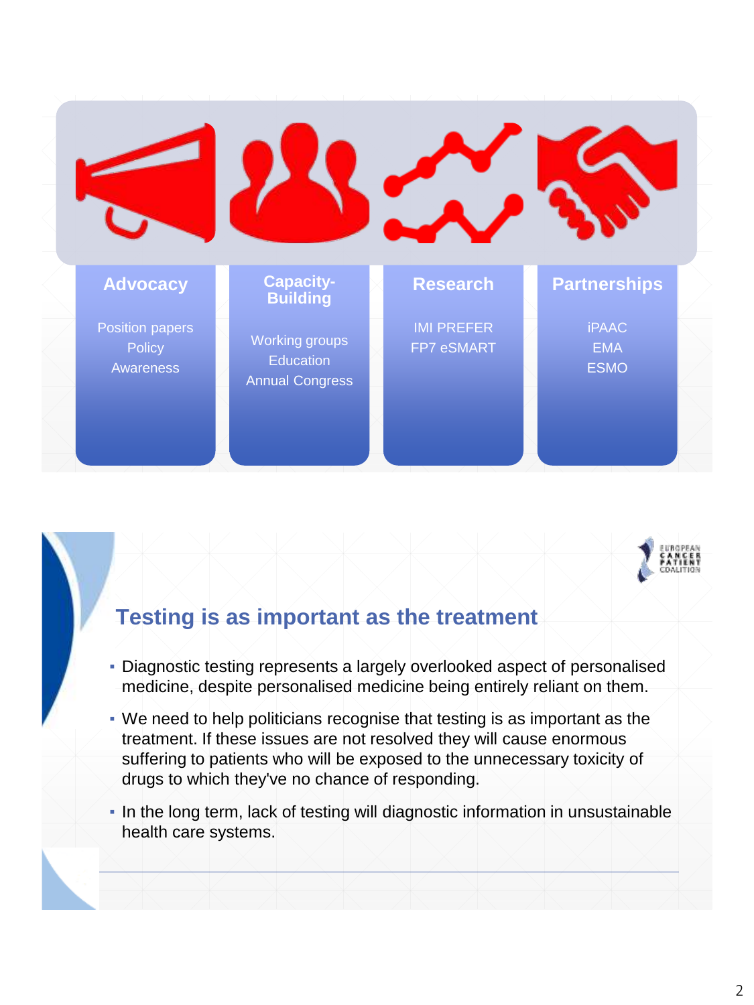



## **Testing is as important as the treatment**

- Diagnostic testing represents a largely overlooked aspect of personalised medicine, despite personalised medicine being entirely reliant on them.
- We need to help politicians recognise that testing is as important as the treatment. If these issues are not resolved they will cause enormous suffering to patients who will be exposed to the unnecessary toxicity of drugs to which they've no chance of responding.
- In the long term, lack of testing will diagnostic information in unsustainable health care systems.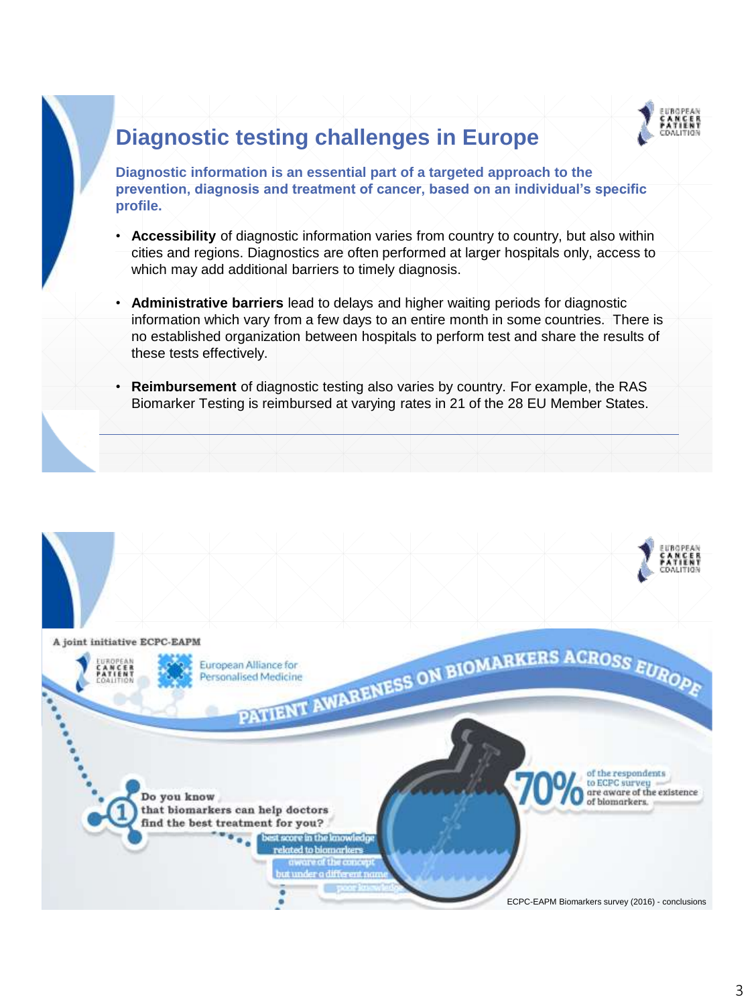

## **Diagnostic testing challenges in Europe**

**Diagnostic information is an essential part of a targeted approach to the prevention, diagnosis and treatment of cancer, based on an individual's specific profile.** 

- **Accessibility** of diagnostic information varies from country to country, but also within cities and regions. Diagnostics are often performed at larger hospitals only, access to which may add additional barriers to timely diagnosis.
- **Administrative barriers** lead to delays and higher waiting periods for diagnostic information which vary from a few days to an entire month in some countries. There is no established organization between hospitals to perform test and share the results of these tests effectively.
- **Reimbursement** of diagnostic testing also varies by country. For example, the RAS Biomarker Testing is reimbursed at varying rates in 21 of the 28 EU Member States.

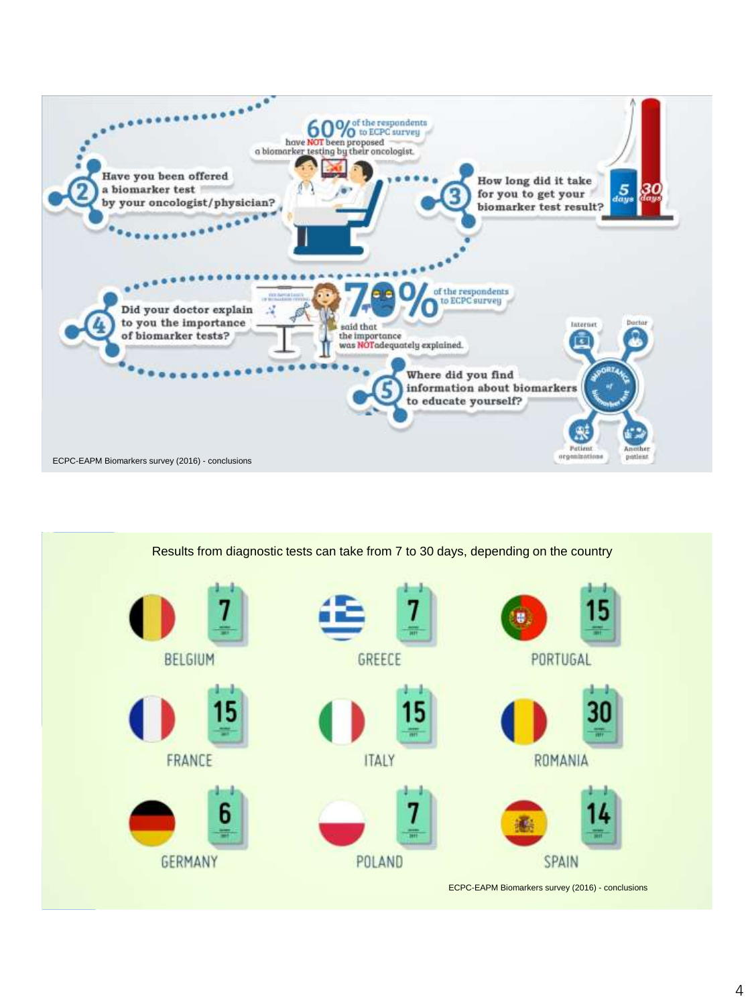

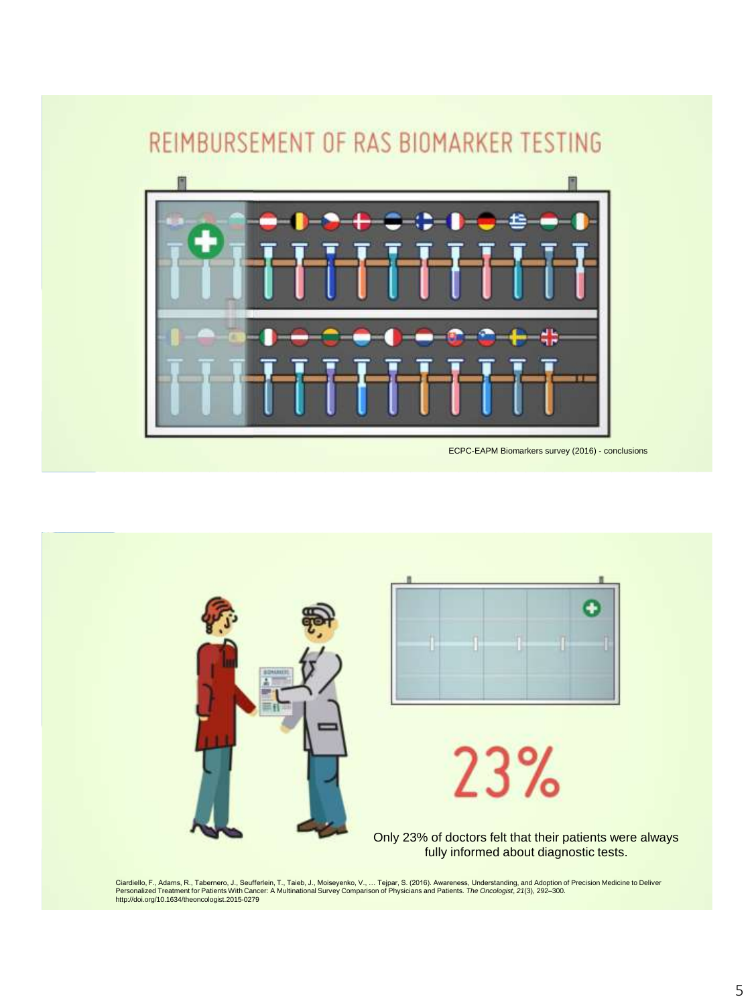



Ciardiello, F., Adams, R., Tabernero, J., Seufferlein, T., Taieb, J., Moiseyenko, V., … Tejpar, S. (2016). Awareness, Understanding, and Adoption of Precision Medicine to Deliver<br>Personalized Treatment for Patients With Ca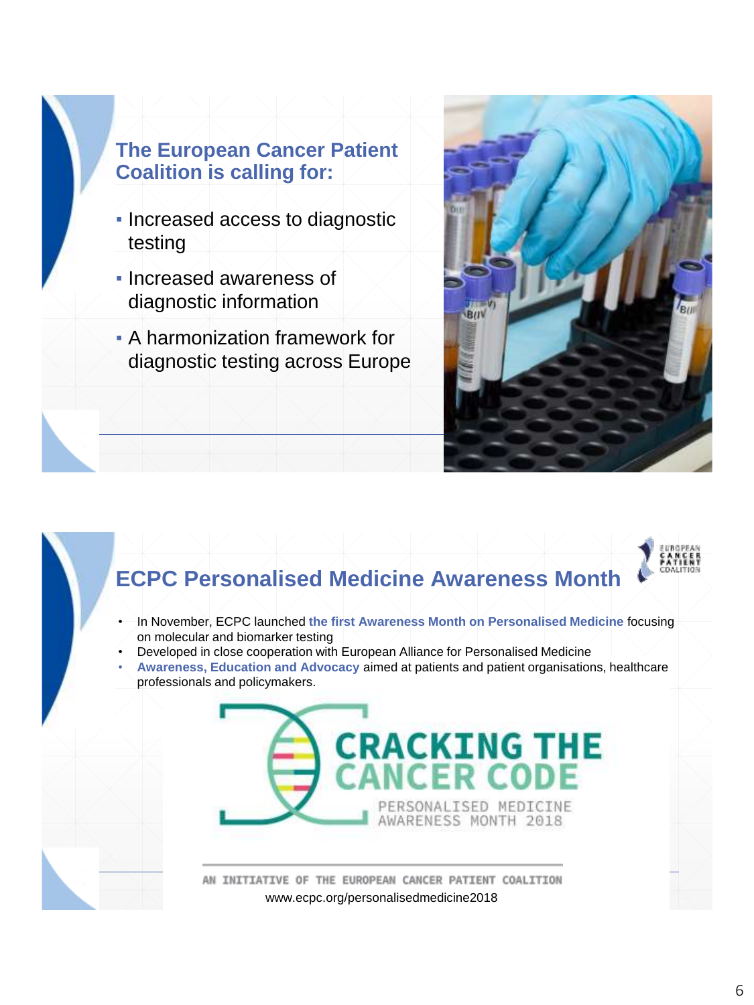### **The European Cancer Patient Coalition is calling for:**

- Increased access to diagnostic testing
- Increased awareness of diagnostic information
- **A harmonization framework for** diagnostic testing across Europe





## **ECPC Personalised Medicine Awareness Month**

- In November, ECPC launched **the first Awareness Month on Personalised Medicine** focusing on molecular and biomarker testing
- Developed in close cooperation with European Alliance for Personalised Medicine
- **Awareness, Education and Advocacy** aimed at patients and patient organisations, healthcare professionals and policymakers.



AN INITIATIVE OF THE EUROPEAN CANCER PATIENT COALITION www.ecpc.org/personalisedmedicine2018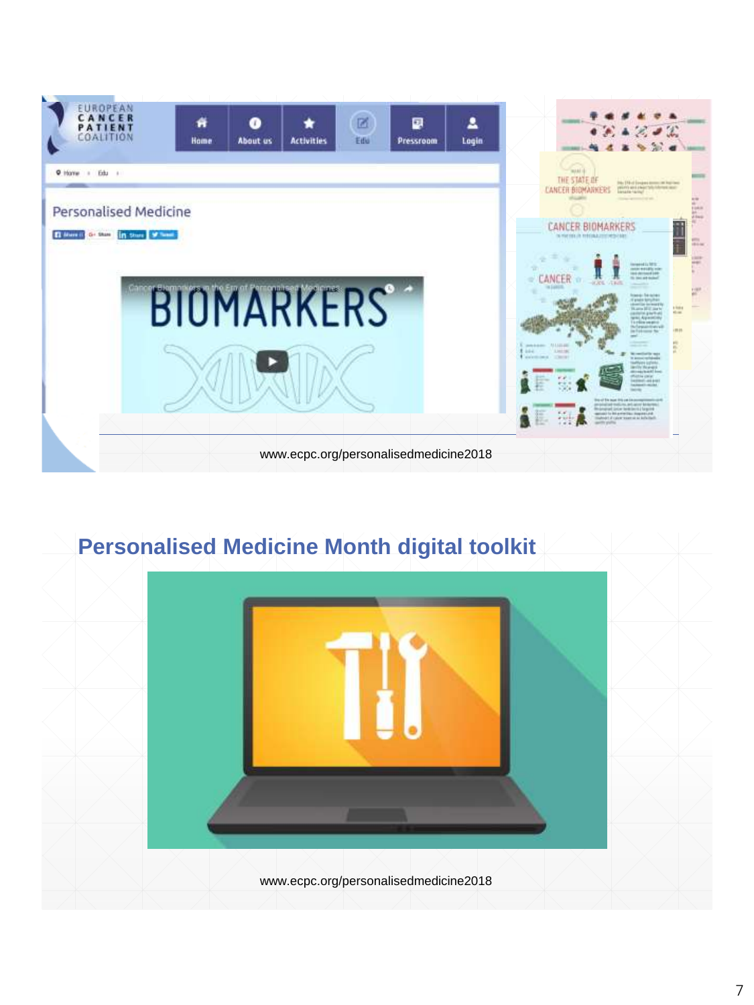

# **Personalised Medicine Month digital toolkit**